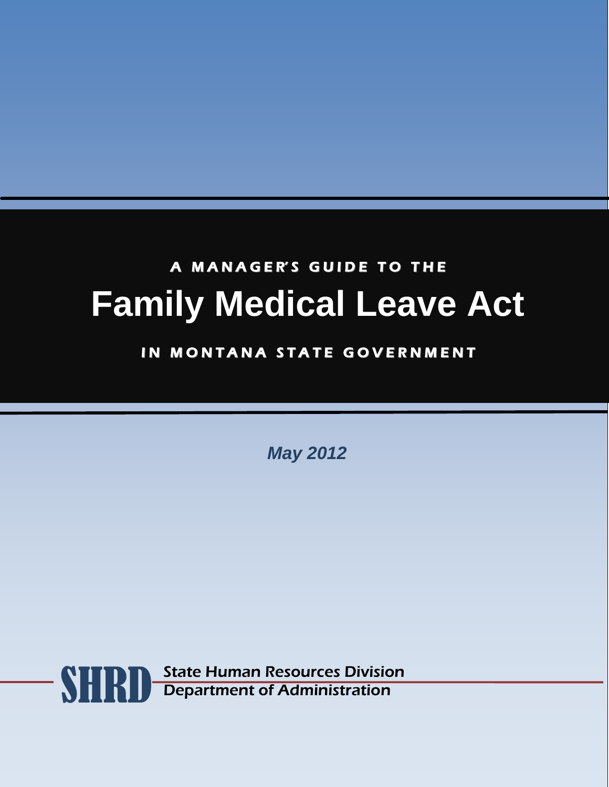# A MANAGER'S GUIDE TO THE **Family Medical Leave Act**

# IN MONTANA STATE GOVERNMENT

*May 2012*

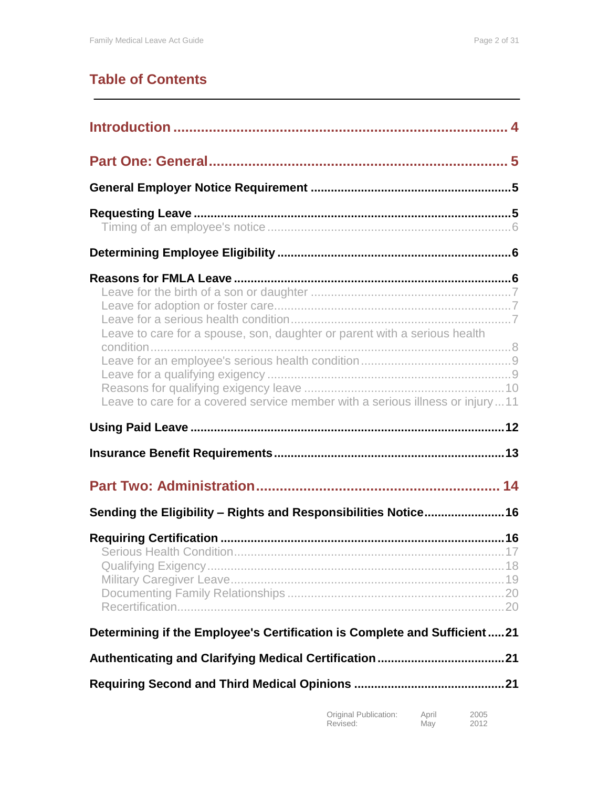# **Table of Contents**

| Leave to care for a spouse, son, daughter or parent with a serious health     |
|-------------------------------------------------------------------------------|
| Leave to care for a covered service member with a serious illness or injury11 |
|                                                                               |
|                                                                               |
|                                                                               |
| Sending the Eligibility - Rights and Responsibilities Notice16                |
|                                                                               |
| Determining if the Employee's Certification is Complete and Sufficient21      |
|                                                                               |
|                                                                               |

| Original Publication: | April | 2005 |
|-----------------------|-------|------|
| Revised:              | May   | 2012 |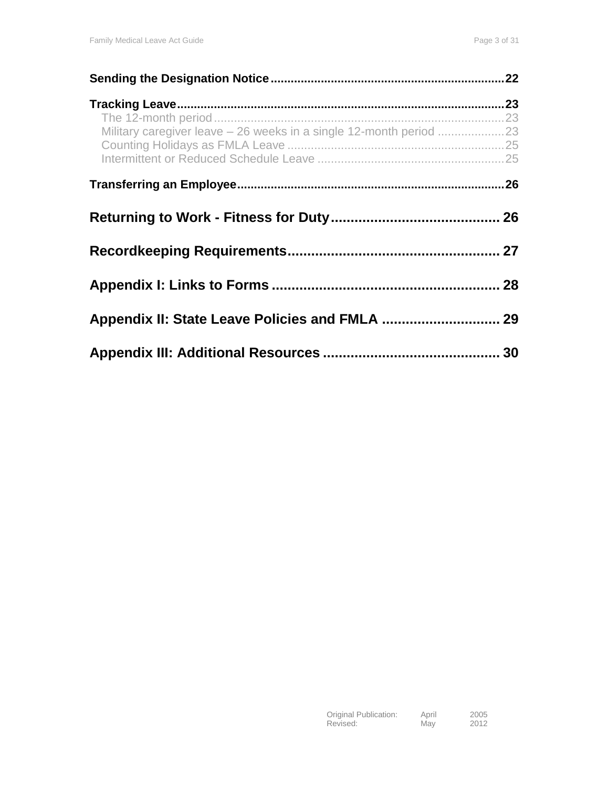|                                                                    | 22 |
|--------------------------------------------------------------------|----|
|                                                                    |    |
|                                                                    |    |
| Military caregiver leave - 26 weeks in a single 12-month period 23 |    |
|                                                                    |    |
|                                                                    |    |
|                                                                    |    |
|                                                                    |    |
|                                                                    |    |
|                                                                    |    |
|                                                                    |    |
|                                                                    |    |
|                                                                    |    |
|                                                                    |    |
|                                                                    |    |
|                                                                    |    |
|                                                                    | 30 |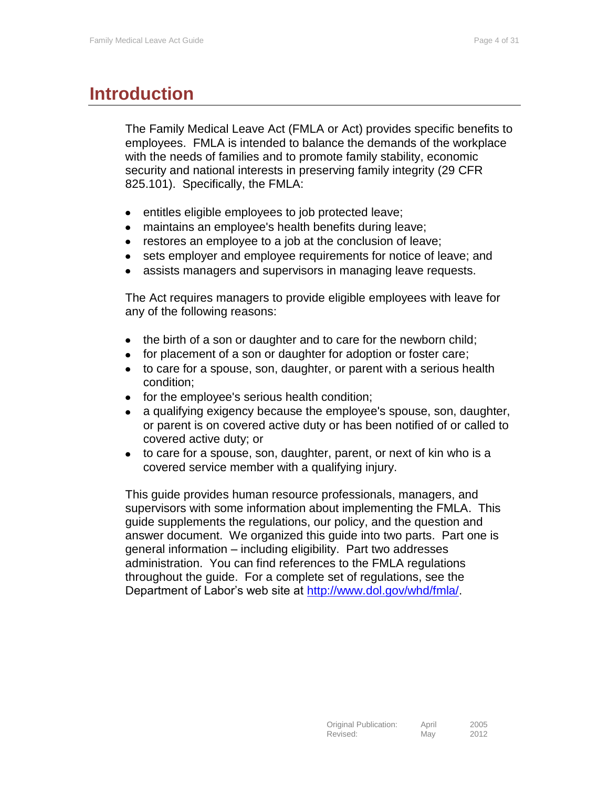# <span id="page-3-0"></span>**Introduction**

The Family Medical Leave Act (FMLA or Act) provides specific benefits to employees. FMLA is intended to balance the demands of the workplace with the needs of families and to promote family stability, economic security and national interests in preserving family integrity (29 CFR 825.101). Specifically, the FMLA:

- entitles eligible employees to job protected leave;  $\bullet$
- maintains an employee's health benefits during leave;  $\bullet$
- restores an employee to a job at the conclusion of leave;  $\bullet$
- $\bullet$ sets employer and employee requirements for notice of leave; and
- assists managers and supervisors in managing leave requests.

The Act requires managers to provide eligible employees with leave for any of the following reasons:

- the birth of a son or daughter and to care for the newborn child;
- $\bullet$ for placement of a son or daughter for adoption or foster care;
- to care for a spouse, son, daughter, or parent with a serious health  $\bullet$ condition;
- for the employee's serious health condition;  $\bullet$
- a qualifying exigency because the employee's spouse, son, daughter,  $\bullet$ or parent is on covered active duty or has been notified of or called to covered active duty; or
- to care for a spouse, son, daughter, parent, or next of kin who is a covered service member with a qualifying injury.

This guide provides human resource professionals, managers, and supervisors with some information about implementing the FMLA. This guide supplements the regulations, our policy, and the question and answer document. We organized this guide into two parts. Part one is general information – including eligibility. Part two addresses administration. You can find references to the FMLA regulations throughout the guide. For a complete set of regulations, see the Department of Labor's web site at [http://www.dol.gov/whd/fmla/.](http://www.dol.gov/whd/fmla/)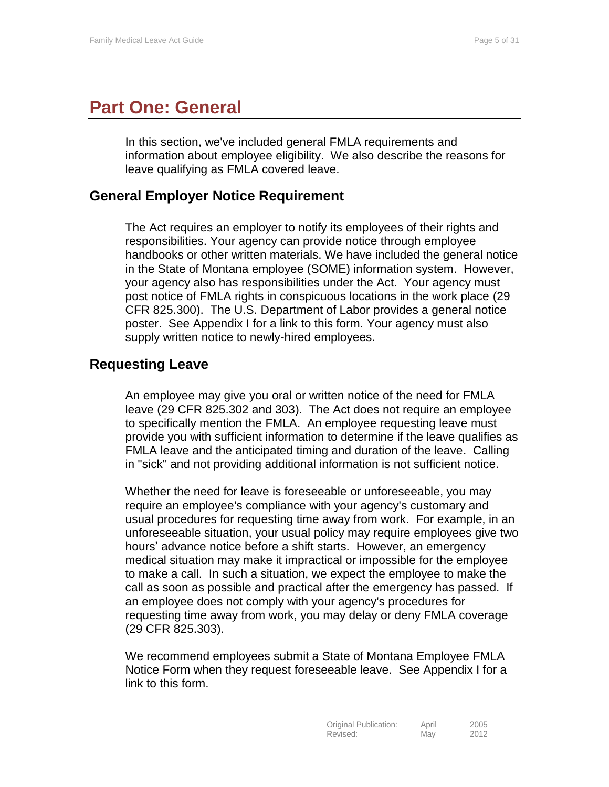# <span id="page-4-0"></span>**Part One: General**

In this section, we've included general FMLA requirements and information about employee eligibility. We also describe the reasons for leave qualifying as FMLA covered leave.

### <span id="page-4-1"></span>**General Employer Notice Requirement**

The Act requires an employer to notify its employees of their rights and responsibilities. Your agency can provide notice through employee handbooks or other written materials. We have included the general notice in the State of Montana employee (SOME) information system. However, your agency also has responsibilities under the Act. Your agency must post notice of FMLA rights in conspicuous locations in the work place (29 CFR 825.300). The U.S. Department of Labor provides a general notice poster. See Appendix I for a link to this form. Your agency must also supply written notice to newly-hired employees.

# <span id="page-4-2"></span>**Requesting Leave**

An employee may give you oral or written notice of the need for FMLA leave (29 CFR 825.302 and 303). The Act does not require an employee to specifically mention the FMLA. An employee requesting leave must provide you with sufficient information to determine if the leave qualifies as FMLA leave and the anticipated timing and duration of the leave. Calling in "sick" and not providing additional information is not sufficient notice.

Whether the need for leave is foreseeable or unforeseeable, you may require an employee's compliance with your agency's customary and usual procedures for requesting time away from work. For example, in an unforeseeable situation, your usual policy may require employees give two hours' advance notice before a shift starts. However, an emergency medical situation may make it impractical or impossible for the employee to make a call. In such a situation, we expect the employee to make the call as soon as possible and practical after the emergency has passed. If an employee does not comply with your agency's procedures for requesting time away from work, you may delay or deny FMLA coverage (29 CFR 825.303).

We recommend employees submit a State of Montana Employee FMLA Notice Form when they request foreseeable leave. See Appendix I for a link to this form.

| Original Publication: | April | 2005 |
|-----------------------|-------|------|
| Revised:              | May   | 2012 |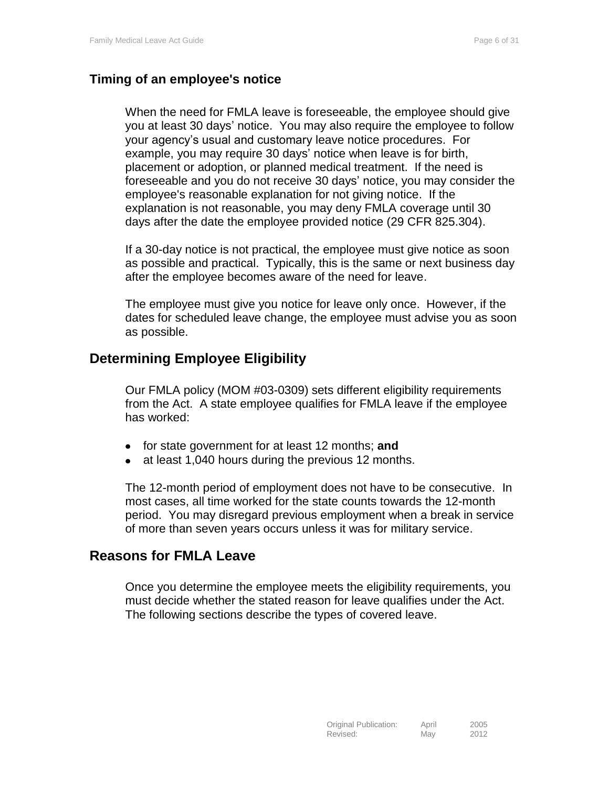### <span id="page-5-0"></span>**Timing of an employee's notice**

When the need for FMLA leave is foreseeable, the employee should give you at least 30 days' notice. You may also require the employee to follow your agency's usual and customary leave notice procedures. For example, you may require 30 days' notice when leave is for birth, placement or adoption, or planned medical treatment. If the need is foreseeable and you do not receive 30 days' notice, you may consider the employee's reasonable explanation for not giving notice. If the explanation is not reasonable, you may deny FMLA coverage until 30 days after the date the employee provided notice (29 CFR 825.304).

If a 30-day notice is not practical, the employee must give notice as soon as possible and practical. Typically, this is the same or next business day after the employee becomes aware of the need for leave.

The employee must give you notice for leave only once. However, if the dates for scheduled leave change, the employee must advise you as soon as possible.

# <span id="page-5-1"></span>**Determining Employee Eligibility**

Our FMLA policy (MOM #03-0309) sets different eligibility requirements from the Act. A state employee qualifies for FMLA leave if the employee has worked:

- for state government for at least 12 months; **and**
- at least 1,040 hours during the previous 12 months.  $\bullet$

The 12-month period of employment does not have to be consecutive. In most cases, all time worked for the state counts towards the 12-month period. You may disregard previous employment when a break in service of more than seven years occurs unless it was for military service.

## <span id="page-5-2"></span>**Reasons for FMLA Leave**

Once you determine the employee meets the eligibility requirements, you must decide whether the stated reason for leave qualifies under the Act. The following sections describe the types of covered leave.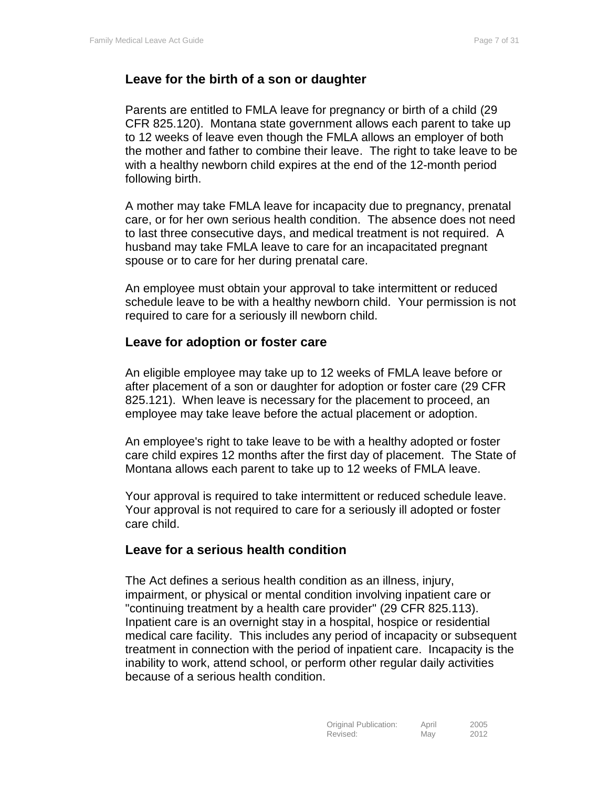#### <span id="page-6-0"></span>**Leave for the birth of a son or daughter**

Parents are entitled to FMLA leave for pregnancy or birth of a child (29 CFR 825.120). Montana state government allows each parent to take up to 12 weeks of leave even though the FMLA allows an employer of both the mother and father to combine their leave. The right to take leave to be with a healthy newborn child expires at the end of the 12-month period following birth.

A mother may take FMLA leave for incapacity due to pregnancy, prenatal care, or for her own serious health condition. The absence does not need to last three consecutive days, and medical treatment is not required. A husband may take FMLA leave to care for an incapacitated pregnant spouse or to care for her during prenatal care.

An employee must obtain your approval to take intermittent or reduced schedule leave to be with a healthy newborn child. Your permission is not required to care for a seriously ill newborn child.

#### <span id="page-6-1"></span>**Leave for adoption or foster care**

An eligible employee may take up to 12 weeks of FMLA leave before or after placement of a son or daughter for adoption or foster care (29 CFR 825.121). When leave is necessary for the placement to proceed, an employee may take leave before the actual placement or adoption.

An employee's right to take leave to be with a healthy adopted or foster care child expires 12 months after the first day of placement. The State of Montana allows each parent to take up to 12 weeks of FMLA leave.

Your approval is required to take intermittent or reduced schedule leave. Your approval is not required to care for a seriously ill adopted or foster care child.

#### <span id="page-6-2"></span>**Leave for a serious health condition**

The Act defines a serious health condition as an illness, injury, impairment, or physical or mental condition involving inpatient care or "continuing treatment by a health care provider" (29 CFR 825.113). Inpatient care is an overnight stay in a hospital, hospice or residential medical care facility. This includes any period of incapacity or subsequent treatment in connection with the period of inpatient care. Incapacity is the inability to work, attend school, or perform other regular daily activities because of a serious health condition.

| Original Publication: | April | 2005 |
|-----------------------|-------|------|
| Revised:              | May   | 2012 |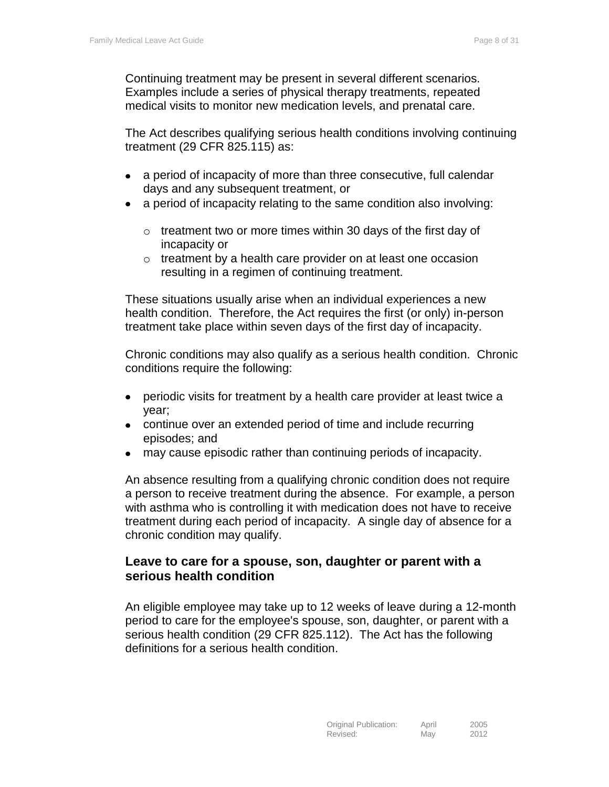Continuing treatment may be present in several different scenarios. Examples include a series of physical therapy treatments, repeated medical visits to monitor new medication levels, and prenatal care.

The Act describes qualifying serious health conditions involving continuing treatment (29 CFR 825.115) as:

- a period of incapacity of more than three consecutive, full calendar  $\bullet$ days and any subsequent treatment, or
- a period of incapacity relating to the same condition also involving:
	- $\circ$  treatment two or more times within 30 days of the first day of incapacity or
	- o treatment by a health care provider on at least one occasion resulting in a regimen of continuing treatment.

These situations usually arise when an individual experiences a new health condition. Therefore, the Act requires the first (or only) in-person treatment take place within seven days of the first day of incapacity.

Chronic conditions may also qualify as a serious health condition. Chronic conditions require the following:

- periodic visits for treatment by a health care provider at least twice a  $\bullet$ year;
- continue over an extended period of time and include recurring episodes; and
- may cause episodic rather than continuing periods of incapacity.  $\bullet$

An absence resulting from a qualifying chronic condition does not require a person to receive treatment during the absence. For example, a person with asthma who is controlling it with medication does not have to receive treatment during each period of incapacity. A single day of absence for a chronic condition may qualify.

#### <span id="page-7-0"></span>**Leave to care for a spouse, son, daughter or parent with a serious health condition**

An eligible employee may take up to 12 weeks of leave during a 12-month period to care for the employee's spouse, son, daughter, or parent with a serious health condition (29 CFR 825.112). The Act has the following definitions for a serious health condition.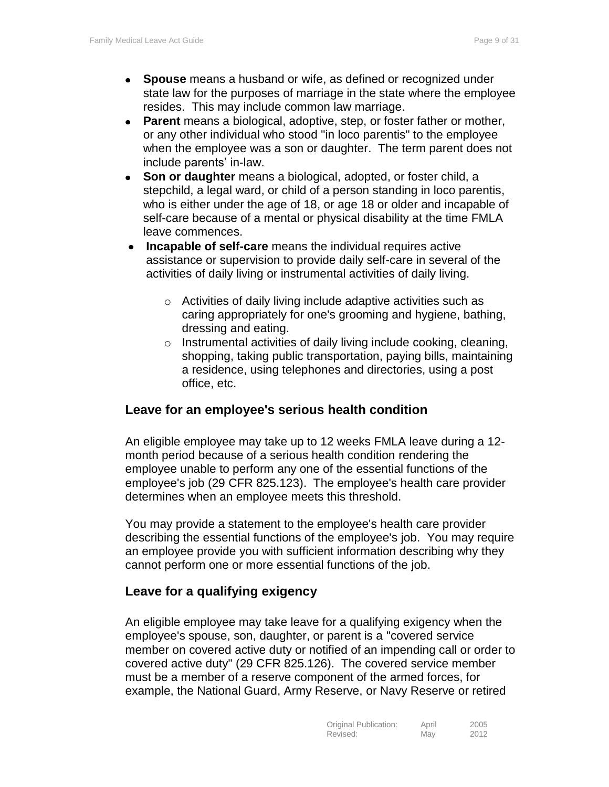- **Spouse** means a husband or wife, as defined or recognized under state law for the purposes of marriage in the state where the employee resides. This may include common law marriage.
- **Parent** means a biological, adoptive, step, or foster father or mother, or any other individual who stood "in loco parentis" to the employee when the employee was a son or daughter. The term parent does not include parents' in-law.
- **Son or daughter** means a biological, adopted, or foster child, a  $\bullet$ stepchild, a legal ward, or child of a person standing in loco parentis, who is either under the age of 18, or age 18 or older and incapable of self-care because of a mental or physical disability at the time FMLA leave commences.
- **Incapable of self-care** means the individual requires active assistance or supervision to provide daily self-care in several of the activities of daily living or instrumental activities of daily living.
	- o Activities of daily living include adaptive activities such as caring appropriately for one's grooming and hygiene, bathing, dressing and eating.
	- $\circ$  Instrumental activities of daily living include cooking, cleaning, shopping, taking public transportation, paying bills, maintaining a residence, using telephones and directories, using a post office, etc.

#### <span id="page-8-0"></span>**Leave for an employee's serious health condition**

An eligible employee may take up to 12 weeks FMLA leave during a 12 month period because of a serious health condition rendering the employee unable to perform any one of the essential functions of the employee's job (29 CFR 825.123). The employee's health care provider determines when an employee meets this threshold.

You may provide a statement to the employee's health care provider describing the essential functions of the employee's job. You may require an employee provide you with sufficient information describing why they cannot perform one or more essential functions of the job.

#### <span id="page-8-1"></span>**Leave for a qualifying exigency**

An eligible employee may take leave for a qualifying exigency when the employee's spouse, son, daughter, or parent is a "covered service member on covered active duty or notified of an impending call or order to covered active duty" (29 CFR 825.126). The covered service member must be a member of a reserve component of the armed forces, for example, the National Guard, Army Reserve, or Navy Reserve or retired

| Original Publication: | April | 2005 |
|-----------------------|-------|------|
| Revised:              | May   | 2012 |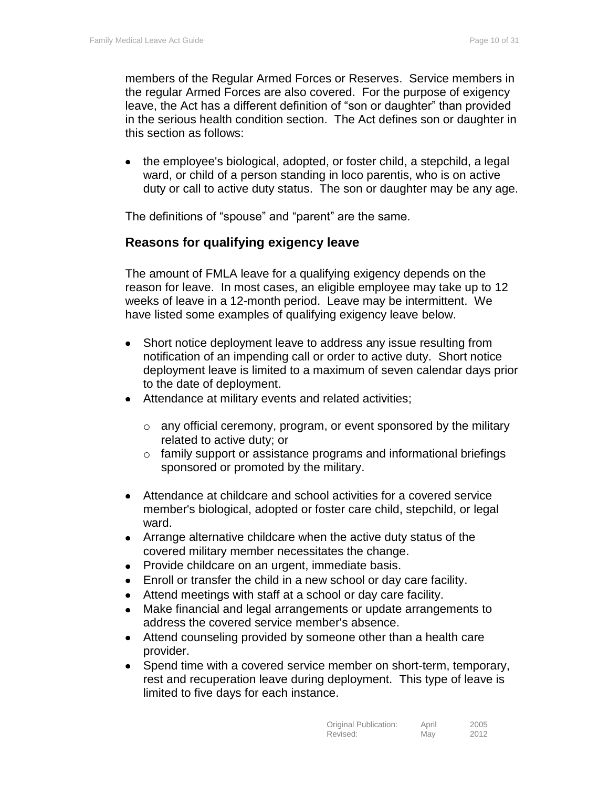members of the Regular Armed Forces or Reserves. Service members in the regular Armed Forces are also covered. For the purpose of exigency leave, the Act has a different definition of "son or daughter" than provided in the serious health condition section. The Act defines son or daughter in this section as follows:

• the employee's biological, adopted, or foster child, a stepchild, a legal ward, or child of a person standing in loco parentis, who is on active duty or call to active duty status. The son or daughter may be any age.

<span id="page-9-0"></span>The definitions of "spouse" and "parent" are the same.

#### **Reasons for qualifying exigency leave**

The amount of FMLA leave for a qualifying exigency depends on the reason for leave. In most cases, an eligible employee may take up to 12 weeks of leave in a 12-month period. Leave may be intermittent. We have listed some examples of qualifying exigency leave below.

- $\bullet$ Short notice deployment leave to address any issue resulting from notification of an impending call or order to active duty. Short notice deployment leave is limited to a maximum of seven calendar days prior to the date of deployment.
- Attendance at military events and related activities;
	- o any official ceremony, program, or event sponsored by the military related to active duty; or
	- o family support or assistance programs and informational briefings sponsored or promoted by the military.
- Attendance at childcare and school activities for a covered service member's biological, adopted or foster care child, stepchild, or legal ward.
- Arrange alternative childcare when the active duty status of the covered military member necessitates the change.
- Provide childcare on an urgent, immediate basis.
- Enroll or transfer the child in a new school or day care facility.
- Attend meetings with staff at a school or day care facility.
- Make financial and legal arrangements or update arrangements to  $\bullet$ address the covered service member's absence.
- $\bullet$ Attend counseling provided by someone other than a health care provider.
- Spend time with a covered service member on short-term, temporary,  $\bullet$ rest and recuperation leave during deployment. This type of leave is limited to five days for each instance.

| Original Publication: | April | 2005 |
|-----------------------|-------|------|
| Revised:              | May   | 2012 |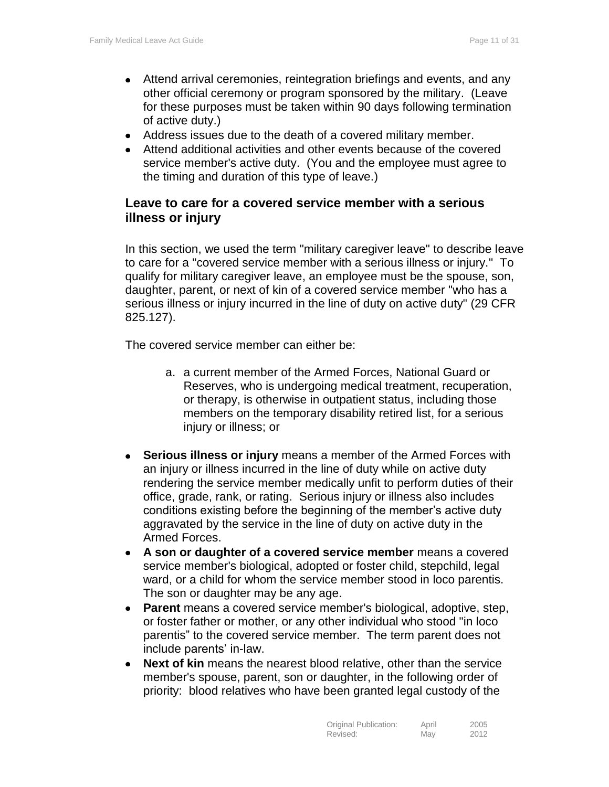- Attend arrival ceremonies, reintegration briefings and events, and any other official ceremony or program sponsored by the military. (Leave for these purposes must be taken within 90 days following termination of active duty.)
- Address issues due to the death of a covered military member.
- Attend additional activities and other events because of the covered service member's active duty. (You and the employee must agree to the timing and duration of this type of leave.)

#### <span id="page-10-0"></span>**Leave to care for a covered service member with a serious illness or injury**

In this section, we used the term "military caregiver leave" to describe leave to care for a "covered service member with a serious illness or injury." To qualify for military caregiver leave, an employee must be the spouse, son, daughter, parent, or next of kin of a covered service member "who has a serious illness or injury incurred in the line of duty on active duty" (29 CFR 825.127).

The covered service member can either be:

- a. a current member of the Armed Forces, National Guard or Reserves, who is undergoing medical treatment, recuperation, or therapy, is otherwise in outpatient status, including those members on the temporary disability retired list, for a serious injury or illness; or
- **Serious illness or injury** means a member of the Armed Forces with  $\bullet$ an injury or illness incurred in the line of duty while on active duty rendering the service member medically unfit to perform duties of their office, grade, rank, or rating. Serious injury or illness also includes conditions existing before the beginning of the member's active duty aggravated by the service in the line of duty on active duty in the Armed Forces.
- **A son or daughter of a covered service member** means a covered service member's biological, adopted or foster child, stepchild, legal ward, or a child for whom the service member stood in loco parentis. The son or daughter may be any age.
- **Parent** means a covered service member's biological, adoptive, step, or foster father or mother, or any other individual who stood "in loco parentis" to the covered service member. The term parent does not include parents' in-law.
- **Next of kin** means the nearest blood relative, other than the service  $\bullet$ member's spouse, parent, son or daughter, in the following order of priority: blood relatives who have been granted legal custody of the

| Original Publication: | April | 2005 |
|-----------------------|-------|------|
| Revised:              | May   | 2012 |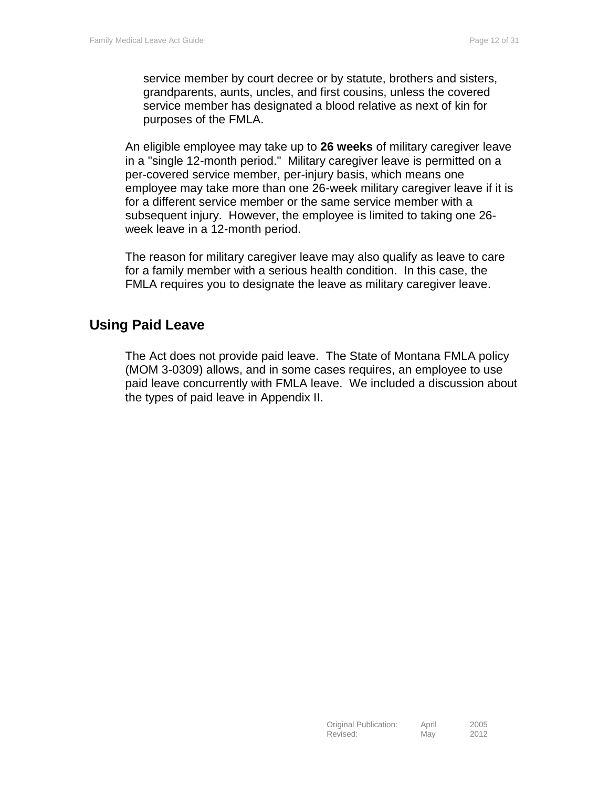service member by court decree or by statute, brothers and sisters, grandparents, aunts, uncles, and first cousins, unless the covered service member has designated a blood relative as next of kin for purposes of the FMLA.

An eligible employee may take up to **26 weeks** of military caregiver leave in a "single 12-month period." Military caregiver leave is permitted on a per-covered service member, per-injury basis, which means one employee may take more than one 26-week military caregiver leave if it is for a different service member or the same service member with a subsequent injury. However, the employee is limited to taking one 26 week leave in a 12-month period.

The reason for military caregiver leave may also qualify as leave to care for a family member with a serious health condition. In this case, the FMLA requires you to designate the leave as military caregiver leave.

# <span id="page-11-0"></span>**Using Paid Leave**

The Act does not provide paid leave. The State of Montana FMLA policy (MOM 3-0309) allows, and in some cases requires, an employee to use paid leave concurrently with FMLA leave. We included a discussion about the types of paid leave in Appendix II.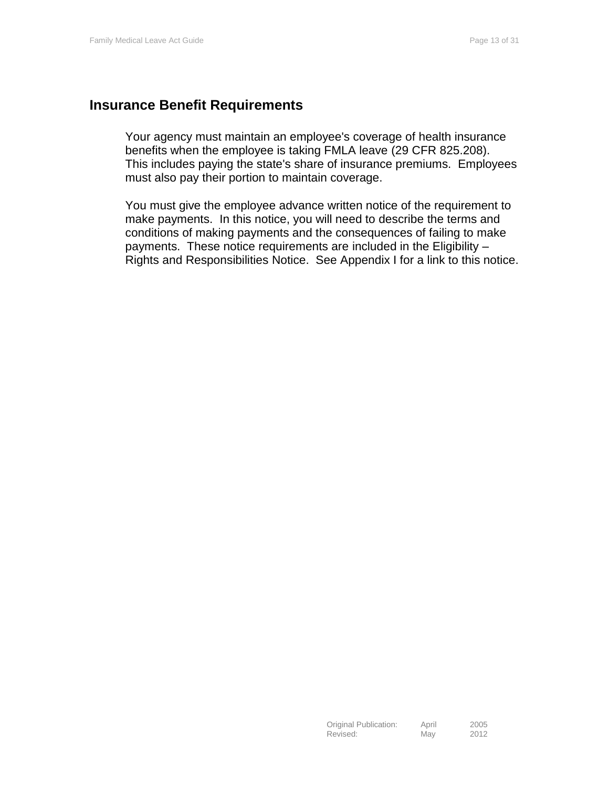#### <span id="page-12-0"></span>**Insurance Benefit Requirements**

Your agency must maintain an employee's coverage of health insurance benefits when the employee is taking FMLA leave (29 CFR 825.208). This includes paying the state's share of insurance premiums. Employees must also pay their portion to maintain coverage.

You must give the employee advance written notice of the requirement to make payments. In this notice, you will need to describe the terms and conditions of making payments and the consequences of failing to make payments. These notice requirements are included in the Eligibility – Rights and Responsibilities Notice. See Appendix I for a link to this notice.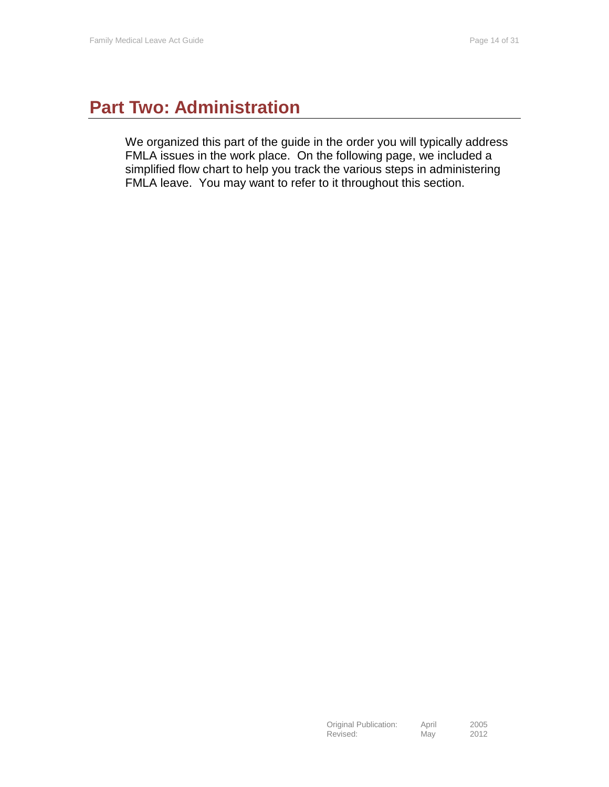# <span id="page-13-0"></span>**Part Two: Administration**

We organized this part of the guide in the order you will typically address FMLA issues in the work place. On the following page, we included a simplified flow chart to help you track the various steps in administering FMLA leave. You may want to refer to it throughout this section.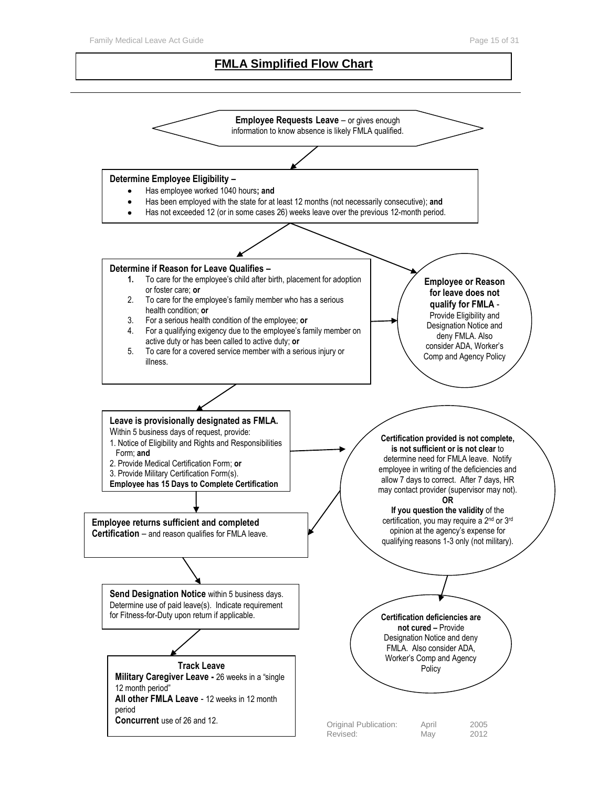#### **FMLA Simplified Flow Chart**

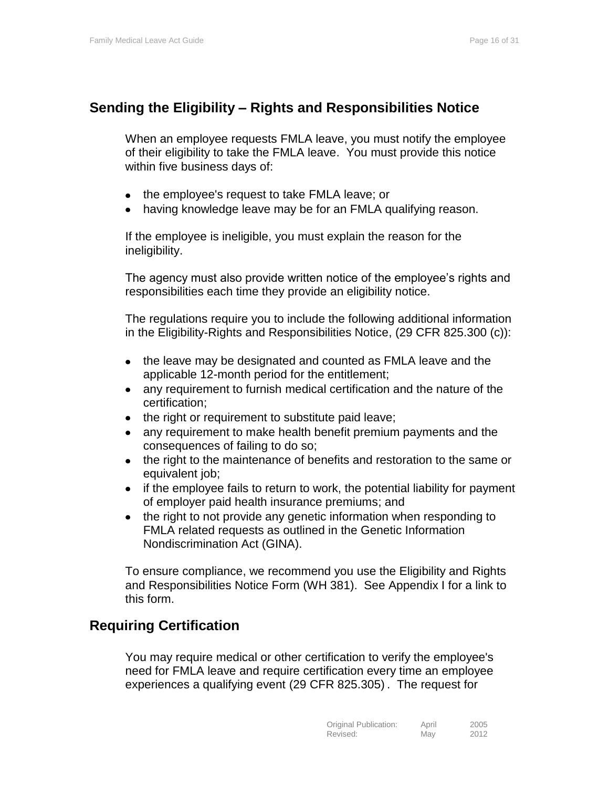# <span id="page-15-0"></span>**Sending the Eligibility – Rights and Responsibilities Notice**

When an employee requests FMLA leave, you must notify the employee of their eligibility to take the FMLA leave. You must provide this notice within five business days of:

- the employee's request to take FMLA leave; or
- having knowledge leave may be for an FMLA qualifying reason.

If the employee is ineligible, you must explain the reason for the ineligibility.

The agency must also provide written notice of the employee's rights and responsibilities each time they provide an eligibility notice.

The regulations require you to include the following additional information in the Eligibility-Rights and Responsibilities Notice, (29 CFR 825.300 (c)):

- the leave may be designated and counted as FMLA leave and the applicable 12-month period for the entitlement;
- any requirement to furnish medical certification and the nature of the  $\bullet$ certification;
- the right or requirement to substitute paid leave;
- any requirement to make health benefit premium payments and the consequences of failing to do so;
- the right to the maintenance of benefits and restoration to the same or equivalent job;
- if the employee fails to return to work, the potential liability for payment of employer paid health insurance premiums; and
- the right to not provide any genetic information when responding to  $\bullet$ FMLA related requests as outlined in the Genetic Information Nondiscrimination Act (GINA).

To ensure compliance, we recommend you use the Eligibility and Rights and Responsibilities Notice Form (WH 381). See Appendix I for a link to this form.

# <span id="page-15-1"></span>**Requiring Certification**

You may require medical or other certification to verify the employee's need for FMLA leave and require certification every time an employee experiences a qualifying event (29 CFR 825.305) . The request for

| Original Publication: | April | 2005 |
|-----------------------|-------|------|
| Revised:              | May   | 2012 |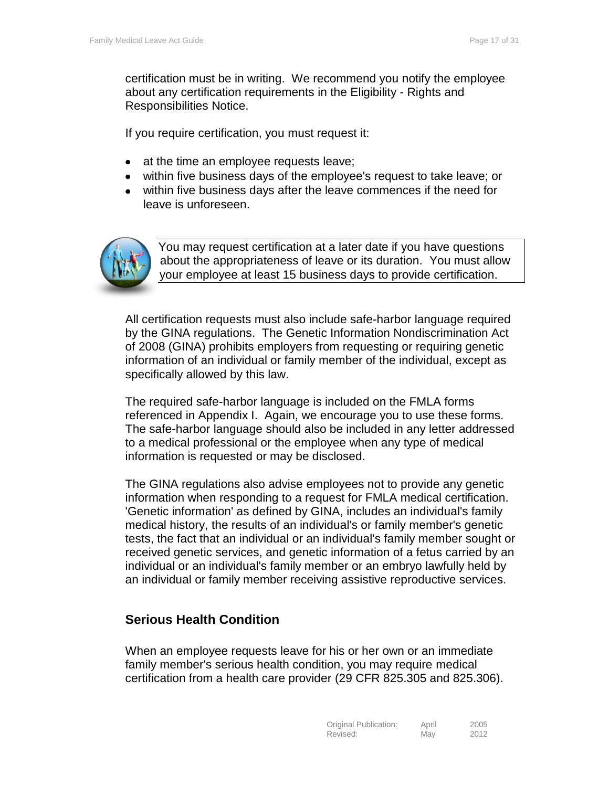certification must be in writing. We recommend you notify the employee about any certification requirements in the Eligibility - Rights and Responsibilities Notice.

If you require certification, you must request it:

- at the time an employee requests leave;
- within five business days of the employee's request to take leave; or
- within five business days after the leave commences if the need for leave is unforeseen.



You may request certification at a later date if you have questions about the appropriateness of leave or its duration. You must allow your employee at least 15 business days to provide certification.

All certification requests must also include safe-harbor language required by the GINA regulations. The Genetic Information Nondiscrimination Act of 2008 (GINA) prohibits employers from requesting or requiring genetic information of an individual or family member of the individual, except as specifically allowed by this law.

The required safe-harbor language is included on the FMLA forms referenced in Appendix I. Again, we encourage you to use these forms. The safe-harbor language should also be included in any letter addressed to a medical professional or the employee when any type of medical information is requested or may be disclosed.

The GINA regulations also advise employees not to provide any genetic information when responding to a request for FMLA medical certification. 'Genetic information' as defined by GINA, includes an individual's family medical history, the results of an individual's or family member's genetic tests, the fact that an individual or an individual's family member sought or received genetic services, and genetic information of a fetus carried by an individual or an individual's family member or an embryo lawfully held by an individual or family member receiving assistive reproductive services.

# <span id="page-16-0"></span>**Serious Health Condition**

When an employee requests leave for his or her own or an immediate family member's serious health condition, you may require medical certification from a health care provider (29 CFR 825.305 and 825.306).

| Original Publication: | April | 2005 |
|-----------------------|-------|------|
| Revised:              | May   | 2012 |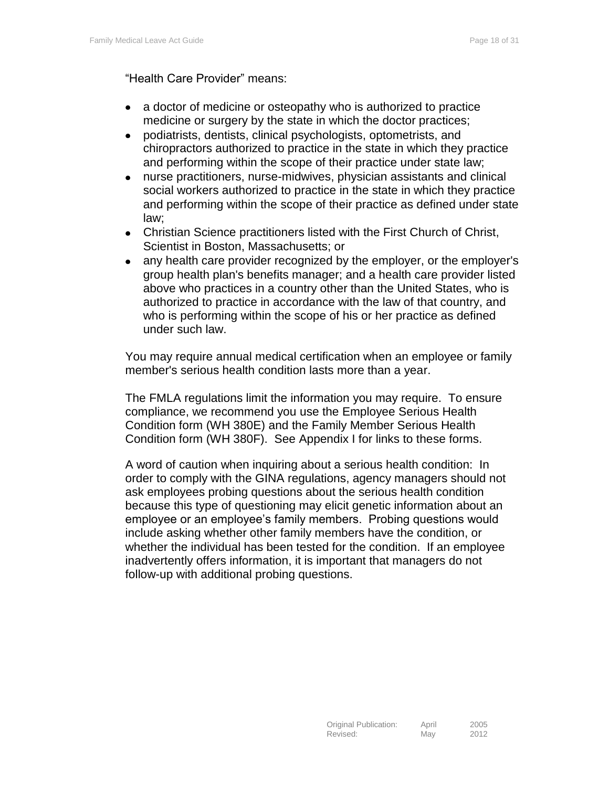"Health Care Provider" means:

- a doctor of medicine or osteopathy who is authorized to practice  $\bullet$ medicine or surgery by the state in which the doctor practices;
- podiatrists, dentists, clinical psychologists, optometrists, and  $\bullet$ chiropractors authorized to practice in the state in which they practice and performing within the scope of their practice under state law;
- nurse practitioners, nurse-midwives, physician assistants and clinical  $\bullet$ social workers authorized to practice in the state in which they practice and performing within the scope of their practice as defined under state law;
- Christian Science practitioners listed with the First Church of Christ,  $\bullet$ Scientist in Boston, Massachusetts; or
- any health care provider recognized by the employer, or the employer's  $\bullet$ group health plan's benefits manager; and a health care provider listed above who practices in a country other than the United States, who is authorized to practice in accordance with the law of that country, and who is performing within the scope of his or her practice as defined under such law.

You may require annual medical certification when an employee or family member's serious health condition lasts more than a year.

The FMLA regulations limit the information you may require. To ensure compliance, we recommend you use the Employee Serious Health Condition form (WH 380E) and the Family Member Serious Health Condition form (WH 380F). See Appendix I for links to these forms.

<span id="page-17-0"></span>A word of caution when inquiring about a serious health condition: In order to comply with the GINA regulations, agency managers should not ask employees probing questions about the serious health condition because this type of questioning may elicit genetic information about an employee or an employee's family members. Probing questions would include asking whether other family members have the condition, or whether the individual has been tested for the condition. If an employee inadvertently offers information, it is important that managers do not follow-up with additional probing questions.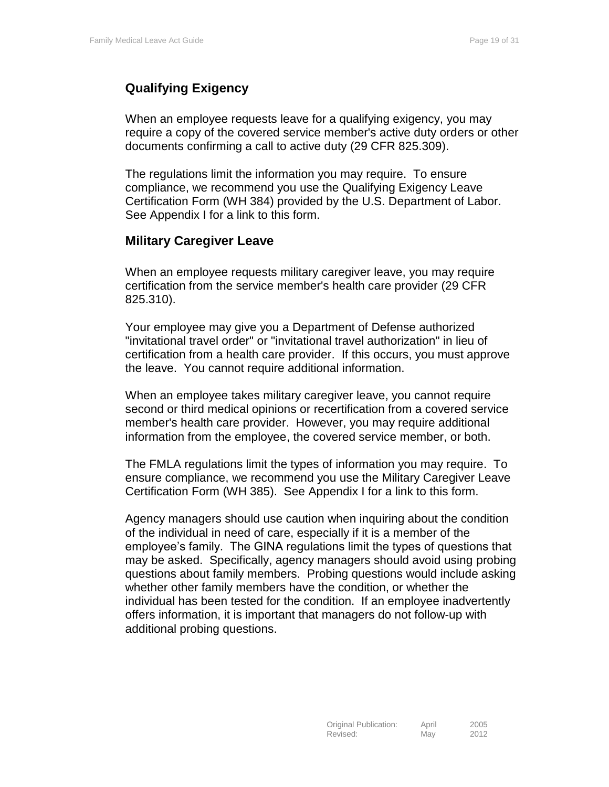# **Qualifying Exigency**

When an employee requests leave for a qualifying exigency, you may require a copy of the covered service member's active duty orders or other documents confirming a call to active duty (29 CFR 825.309).

The regulations limit the information you may require. To ensure compliance, we recommend you use the Qualifying Exigency Leave Certification Form (WH 384) provided by the U.S. Department of Labor. See Appendix I for a link to this form.

#### <span id="page-18-0"></span>**Military Caregiver Leave**

When an employee requests military caregiver leave, you may require certification from the service member's health care provider (29 CFR 825.310).

Your employee may give you a Department of Defense authorized "invitational travel order" or "invitational travel authorization" in lieu of certification from a health care provider. If this occurs, you must approve the leave. You cannot require additional information.

When an employee takes military caregiver leave, you cannot require second or third medical opinions or recertification from a covered service member's health care provider. However, you may require additional information from the employee, the covered service member, or both.

The FMLA regulations limit the types of information you may require. To ensure compliance, we recommend you use the Military Caregiver Leave Certification Form (WH 385). See Appendix I for a link to this form.

<span id="page-18-1"></span>Agency managers should use caution when inquiring about the condition of the individual in need of care, especially if it is a member of the employee's family. The GINA regulations limit the types of questions that may be asked. Specifically, agency managers should avoid using probing questions about family members. Probing questions would include asking whether other family members have the condition, or whether the individual has been tested for the condition. If an employee inadvertently offers information, it is important that managers do not follow-up with additional probing questions.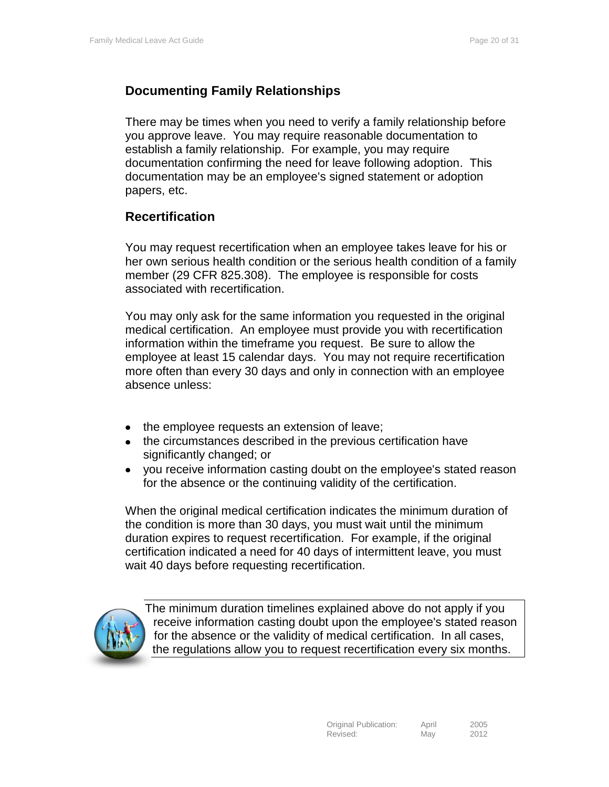# **Documenting Family Relationships**

There may be times when you need to verify a family relationship before you approve leave. You may require reasonable documentation to establish a family relationship. For example, you may require documentation confirming the need for leave following adoption. This documentation may be an employee's signed statement or adoption papers, etc.

#### <span id="page-19-0"></span>**Recertification**

You may request recertification when an employee takes leave for his or her own serious health condition or the serious health condition of a family member (29 CFR 825.308). The employee is responsible for costs associated with recertification.

You may only ask for the same information you requested in the original medical certification. An employee must provide you with recertification information within the timeframe you request. Be sure to allow the employee at least 15 calendar days. You may not require recertification more often than every 30 days and only in connection with an employee absence unless:

- the employee requests an extension of leave;
- the circumstances described in the previous certification have  $\bullet$ significantly changed; or
- you receive information casting doubt on the employee's stated reason  $\bullet$ for the absence or the continuing validity of the certification.

When the original medical certification indicates the minimum duration of the condition is more than 30 days, you must wait until the minimum duration expires to request recertification. For example, if the original certification indicated a need for 40 days of intermittent leave, you must wait 40 days before requesting recertification.



The minimum duration timelines explained above do not apply if you receive information casting doubt upon the employee's stated reason for the absence or the validity of medical certification. In all cases, the regulations allow you to request recertification every six months.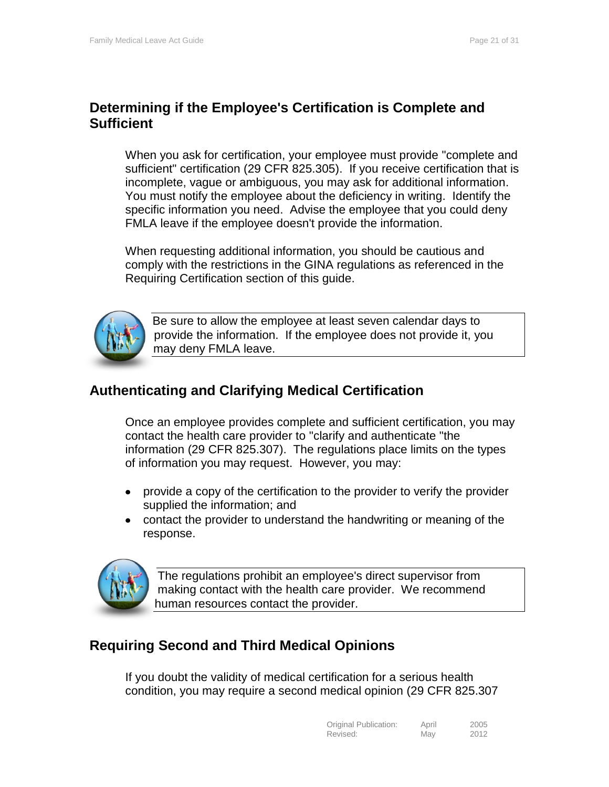# <span id="page-20-0"></span>**Determining if the Employee's Certification is Complete and Sufficient**

When you ask for certification, your employee must provide "complete and sufficient" certification (29 CFR 825.305). If you receive certification that is incomplete, vague or ambiguous, you may ask for additional information. You must notify the employee about the deficiency in writing. Identify the specific information you need. Advise the employee that you could deny FMLA leave if the employee doesn't provide the information.

When requesting additional information, you should be cautious and comply with the restrictions in the GINA regulations as referenced in the Requiring Certification section of this guide.



Be sure to allow the employee at least seven calendar days to provide the information. If the employee does not provide it, you may deny FMLA leave.

# <span id="page-20-1"></span>**Authenticating and Clarifying Medical Certification**

Once an employee provides complete and sufficient certification, you may contact the health care provider to "clarify and authenticate "the information (29 CFR 825.307). The regulations place limits on the types of information you may request. However, you may:

- provide a copy of the certification to the provider to verify the provider  $\bullet$ supplied the information; and
- contact the provider to understand the handwriting or meaning of the  $\bullet$ response.



The regulations prohibit an employee's direct supervisor from making contact with the health care provider. We recommend human resources contact the provider.

# <span id="page-20-2"></span>**Requiring Second and Third Medical Opinions**

If you doubt the validity of medical certification for a serious health condition, you may require a second medical opinion (29 CFR 825.307

| Original Publication: | April | 2005 |
|-----------------------|-------|------|
| Revised:              | May   | 2012 |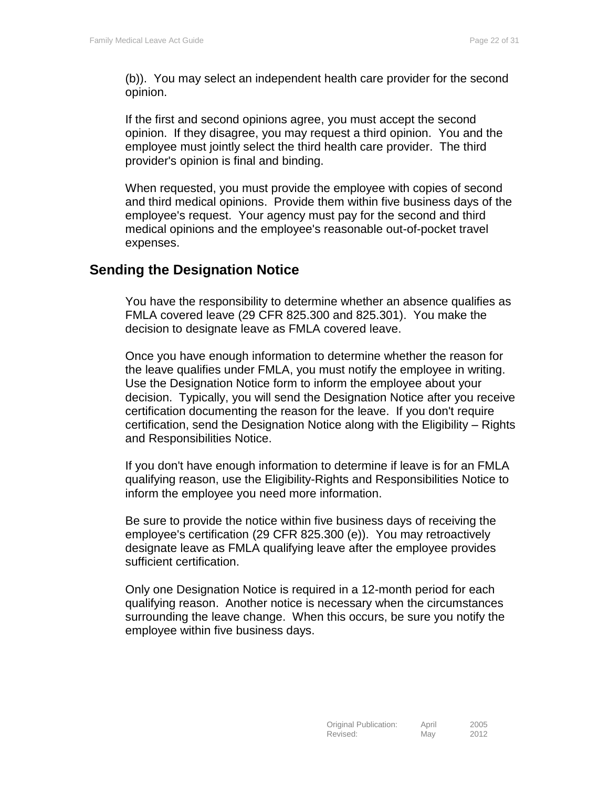(b)). You may select an independent health care provider for the second opinion.

If the first and second opinions agree, you must accept the second opinion. If they disagree, you may request a third opinion. You and the employee must jointly select the third health care provider. The third provider's opinion is final and binding.

When requested, you must provide the employee with copies of second and third medical opinions. Provide them within five business days of the employee's request. Your agency must pay for the second and third medical opinions and the employee's reasonable out-of-pocket travel expenses.

# <span id="page-21-0"></span>**Sending the Designation Notice**

You have the responsibility to determine whether an absence qualifies as FMLA covered leave (29 CFR 825.300 and 825.301). You make the decision to designate leave as FMLA covered leave.

Once you have enough information to determine whether the reason for the leave qualifies under FMLA, you must notify the employee in writing. Use the Designation Notice form to inform the employee about your decision. Typically, you will send the Designation Notice after you receive certification documenting the reason for the leave. If you don't require certification, send the Designation Notice along with the Eligibility – Rights and Responsibilities Notice.

If you don't have enough information to determine if leave is for an FMLA qualifying reason, use the Eligibility-Rights and Responsibilities Notice to inform the employee you need more information.

Be sure to provide the notice within five business days of receiving the employee's certification (29 CFR 825.300 (e)). You may retroactively designate leave as FMLA qualifying leave after the employee provides sufficient certification.

Only one Designation Notice is required in a 12-month period for each qualifying reason. Another notice is necessary when the circumstances surrounding the leave change. When this occurs, be sure you notify the employee within five business days.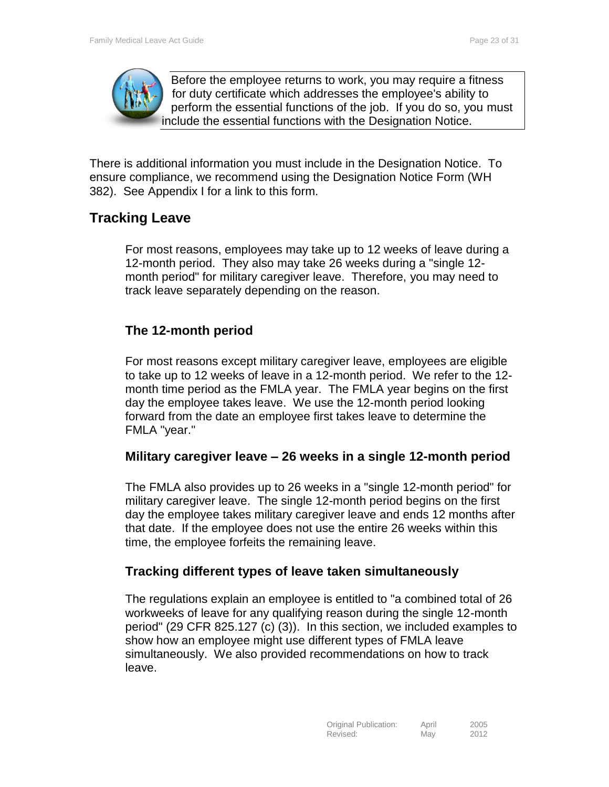

Before the employee returns to work, you may require a fitness for duty certificate which addresses the employee's ability to perform the essential functions of the job. If you do so, you must include the essential functions with the Designation Notice.

There is additional information you must include in the Designation Notice. To ensure compliance, we recommend using the Designation Notice Form (WH 382). See Appendix I for a link to this form.

# <span id="page-22-0"></span>**Tracking Leave**

For most reasons, employees may take up to 12 weeks of leave during a 12-month period. They also may take 26 weeks during a "single 12 month period" for military caregiver leave. Therefore, you may need to track leave separately depending on the reason.

# <span id="page-22-1"></span>**The 12-month period**

For most reasons except military caregiver leave, employees are eligible to take up to 12 weeks of leave in a 12-month period. We refer to the 12 month time period as the FMLA year. The FMLA year begins on the first day the employee takes leave. We use the 12-month period looking forward from the date an employee first takes leave to determine the FMLA "year."

# <span id="page-22-2"></span>**Military caregiver leave – 26 weeks in a single 12-month period**

The FMLA also provides up to 26 weeks in a "single 12-month period" for military caregiver leave. The single 12-month period begins on the first day the employee takes military caregiver leave and ends 12 months after that date. If the employee does not use the entire 26 weeks within this time, the employee forfeits the remaining leave.

# **Tracking different types of leave taken simultaneously**

The regulations explain an employee is entitled to "a combined total of 26 workweeks of leave for any qualifying reason during the single 12-month period" (29 CFR 825.127 (c) (3)). In this section, we included examples to show how an employee might use different types of FMLA leave simultaneously. We also provided recommendations on how to track leave.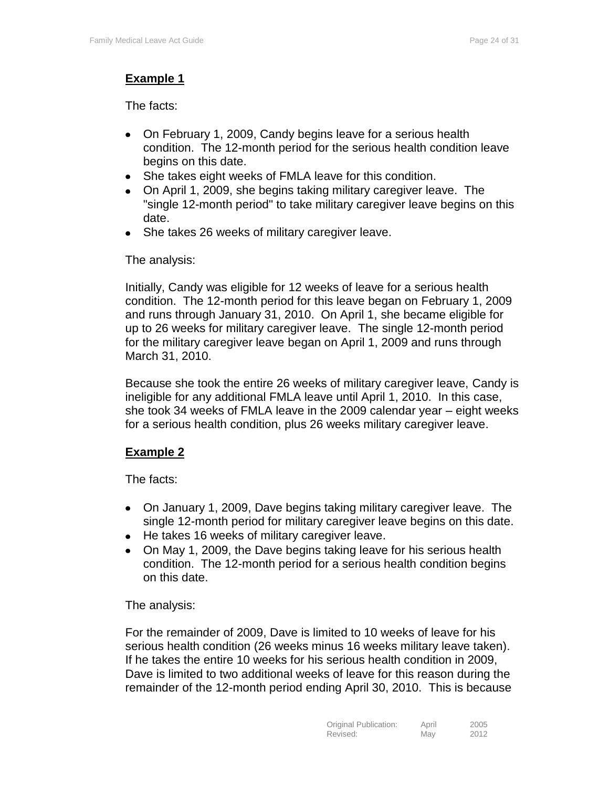#### **Example 1**

The facts:

- On February 1, 2009, Candy begins leave for a serious health  $\bullet$ condition. The 12-month period for the serious health condition leave begins on this date.
- She takes eight weeks of FMLA leave for this condition.
- On April 1, 2009, she begins taking military caregiver leave. The "single 12-month period" to take military caregiver leave begins on this date.
- She takes 26 weeks of military caregiver leave.  $\bullet$

The analysis:

Initially, Candy was eligible for 12 weeks of leave for a serious health condition. The 12-month period for this leave began on February 1, 2009 and runs through January 31, 2010. On April 1, she became eligible for up to 26 weeks for military caregiver leave. The single 12-month period for the military caregiver leave began on April 1, 2009 and runs through March 31, 2010.

Because she took the entire 26 weeks of military caregiver leave, Candy is ineligible for any additional FMLA leave until April 1, 2010. In this case, she took 34 weeks of FMLA leave in the 2009 calendar year – eight weeks for a serious health condition, plus 26 weeks military caregiver leave.

#### **Example 2**

The facts:

- On January 1, 2009, Dave begins taking military caregiver leave. The  $\bullet$ single 12-month period for military caregiver leave begins on this date.
- He takes 16 weeks of military caregiver leave.
- On May 1, 2009, the Dave begins taking leave for his serious health condition. The 12-month period for a serious health condition begins on this date.

The analysis:

For the remainder of 2009, Dave is limited to 10 weeks of leave for his serious health condition (26 weeks minus 16 weeks military leave taken). If he takes the entire 10 weeks for his serious health condition in 2009, Dave is limited to two additional weeks of leave for this reason during the remainder of the 12-month period ending April 30, 2010. This is because

| Original Publication: | April | 2005 |
|-----------------------|-------|------|
| Revised:              | May   | 2012 |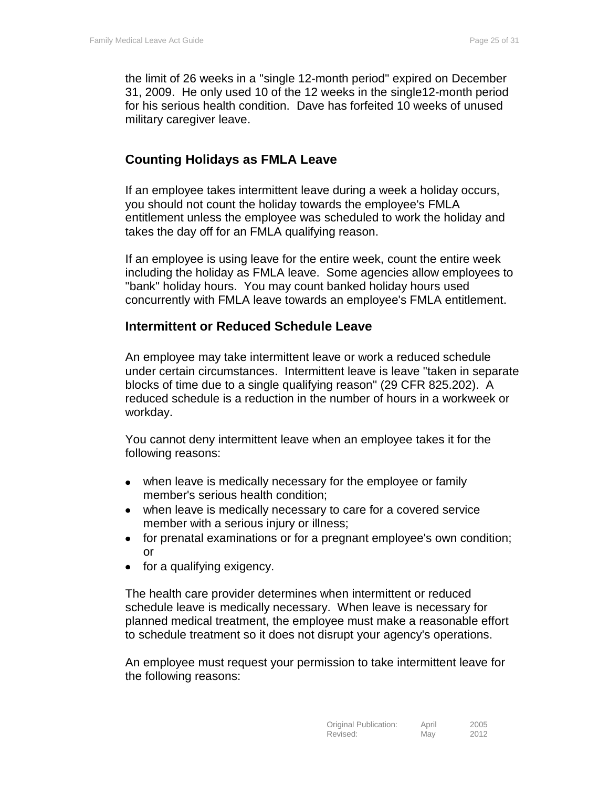the limit of 26 weeks in a "single 12-month period" expired on December 31, 2009. He only used 10 of the 12 weeks in the single12-month period for his serious health condition. Dave has forfeited 10 weeks of unused military caregiver leave.

### <span id="page-24-0"></span>**Counting Holidays as FMLA Leave**

If an employee takes intermittent leave during a week a holiday occurs, you should not count the holiday towards the employee's FMLA entitlement unless the employee was scheduled to work the holiday and takes the day off for an FMLA qualifying reason.

If an employee is using leave for the entire week, count the entire week including the holiday as FMLA leave. Some agencies allow employees to "bank" holiday hours. You may count banked holiday hours used concurrently with FMLA leave towards an employee's FMLA entitlement.

#### <span id="page-24-1"></span>**Intermittent or Reduced Schedule Leave**

An employee may take intermittent leave or work a reduced schedule under certain circumstances. Intermittent leave is leave "taken in separate blocks of time due to a single qualifying reason" (29 CFR 825.202). A reduced schedule is a reduction in the number of hours in a workweek or workday.

You cannot deny intermittent leave when an employee takes it for the following reasons:

- when leave is medically necessary for the employee or family  $\bullet$ member's serious health condition;
- $\bullet$ when leave is medically necessary to care for a covered service member with a serious injury or illness;
- for prenatal examinations or for a pregnant employee's own condition;  $\bullet$ or
- for a qualifying exigency.

The health care provider determines when intermittent or reduced schedule leave is medically necessary. When leave is necessary for planned medical treatment, the employee must make a reasonable effort to schedule treatment so it does not disrupt your agency's operations.

An employee must request your permission to take intermittent leave for the following reasons: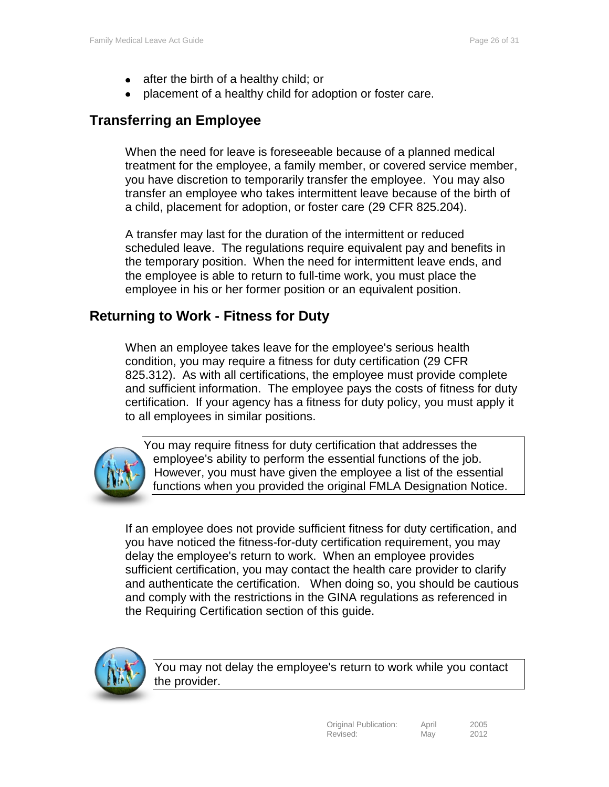- after the birth of a healthy child; or  $\bullet$
- placement of a healthy child for adoption or foster care.

# <span id="page-25-0"></span>**Transferring an Employee**

When the need for leave is foreseeable because of a planned medical treatment for the employee, a family member, or covered service member, you have discretion to temporarily transfer the employee. You may also transfer an employee who takes intermittent leave because of the birth of a child, placement for adoption, or foster care (29 CFR 825.204).

A transfer may last for the duration of the intermittent or reduced scheduled leave. The regulations require equivalent pay and benefits in the temporary position. When the need for intermittent leave ends, and the employee is able to return to full-time work, you must place the employee in his or her former position or an equivalent position.

# <span id="page-25-1"></span>**Returning to Work - Fitness for Duty**

When an employee takes leave for the employee's serious health condition, you may require a fitness for duty certification (29 CFR 825.312). As with all certifications, the employee must provide complete and sufficient information. The employee pays the costs of fitness for duty certification. If your agency has a fitness for duty policy, you must apply it to all employees in similar positions.



You may require fitness for duty certification that addresses the employee's ability to perform the essential functions of the job. However, you must have given the employee a list of the essential functions when you provided the original FMLA Designation Notice.

If an employee does not provide sufficient fitness for duty certification, and you have noticed the fitness-for-duty certification requirement, you may delay the employee's return to work. When an employee provides sufficient certification, you may contact the health care provider to clarify and authenticate the certification. When doing so, you should be cautious and comply with the restrictions in the GINA regulations as referenced in the Requiring Certification section of this guide.



You may not delay the employee's return to work while you contact the provider.

| Original Publication: | April | 2005 |
|-----------------------|-------|------|
| Revised:              | May   | 2012 |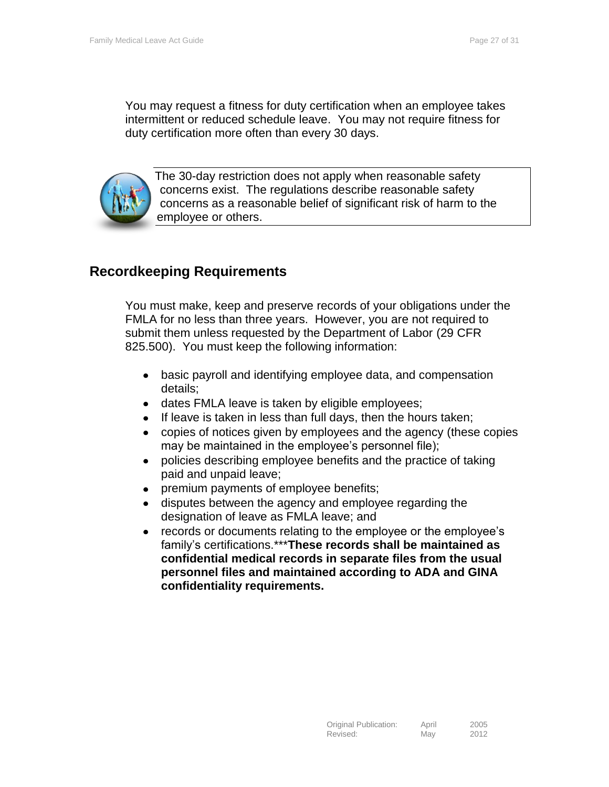You may request a fitness for duty certification when an employee takes intermittent or reduced schedule leave. You may not require fitness for duty certification more often than every 30 days.



The 30-day restriction does not apply when reasonable safety concerns exist. The regulations describe reasonable safety concerns as a reasonable belief of significant risk of harm to the employee or others.

# <span id="page-26-0"></span>**Recordkeeping Requirements**

You must make, keep and preserve records of your obligations under the FMLA for no less than three years. However, you are not required to submit them unless requested by the Department of Labor (29 CFR 825.500). You must keep the following information:

- $\bullet$ basic payroll and identifying employee data, and compensation details;
- dates FMLA leave is taken by eligible employees;
- If leave is taken in less than full days, then the hours taken;  $\bullet$
- copies of notices given by employees and the agency (these copies may be maintained in the employee's personnel file);
- policies describing employee benefits and the practice of taking  $\bullet$ paid and unpaid leave;
- premium payments of employee benefits;  $\bullet$
- disputes between the agency and employee regarding the designation of leave as FMLA leave; and
- records or documents relating to the employee or the employee's  $\bullet$ family's certifications.\*\*\***These records shall be maintained as confidential medical records in separate files from the usual personnel files and maintained according to ADA and GINA confidentiality requirements.**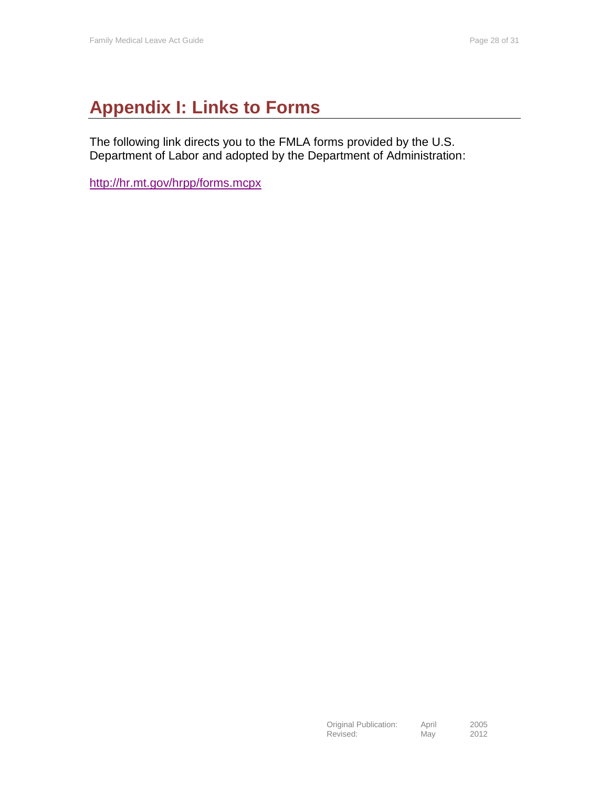# <span id="page-27-0"></span>**Appendix I: Links to Forms**

The following link directs you to the FMLA forms provided by the U.S. Department of Labor and adopted by the Department of Administration:

<http://hr.mt.gov/hrpp/forms.mcpx>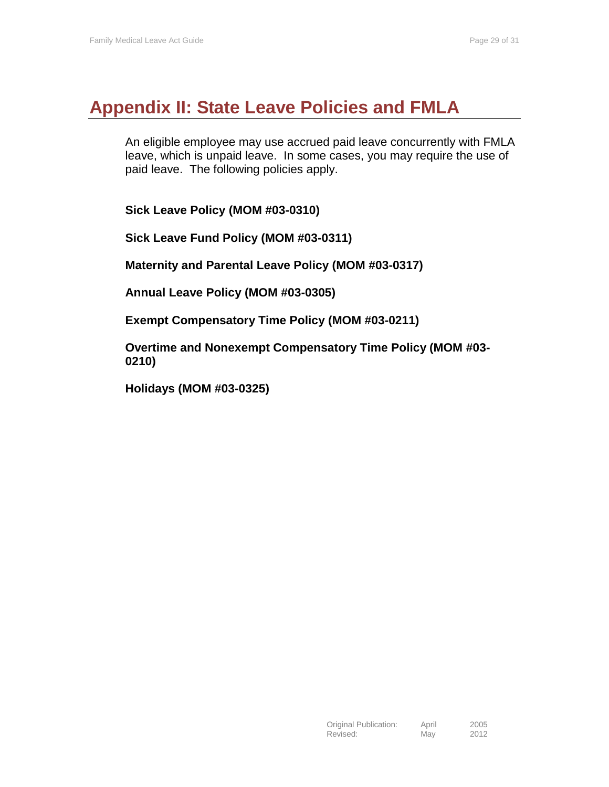# <span id="page-28-0"></span>**Appendix II: State Leave Policies and FMLA**

An eligible employee may use accrued paid leave concurrently with FMLA leave, which is unpaid leave. In some cases, you may require the use of paid leave. The following policies apply.

**Sick Leave Policy (MOM #03-0310)**

**Sick Leave Fund Policy (MOM #03-0311)**

**Maternity and Parental Leave Policy (MOM #03-0317)**

**Annual Leave Policy (MOM #03-0305)**

**Exempt Compensatory Time Policy (MOM #03-0211)**

**Overtime and Nonexempt Compensatory Time Policy (MOM #03- 0210)**

**Holidays (MOM #03-0325)**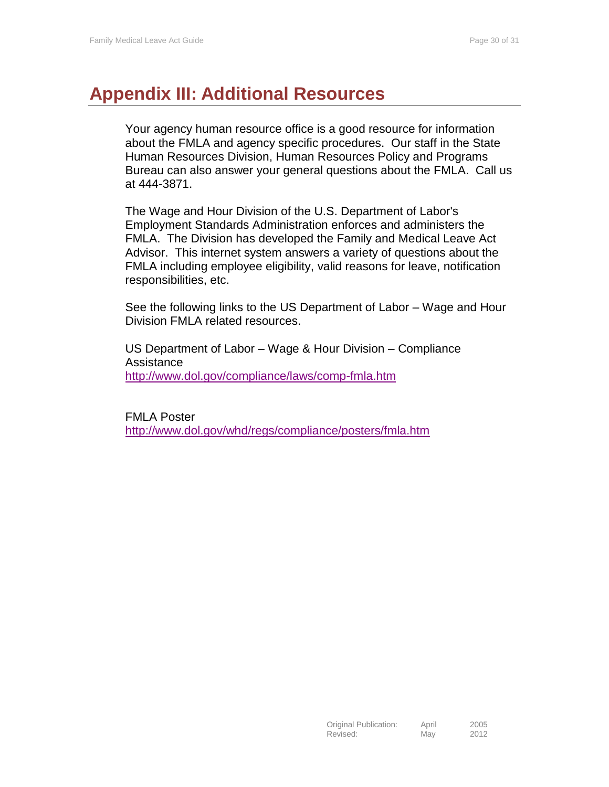# <span id="page-29-0"></span>**Appendix III: Additional Resources**

Your agency human resource office is a good resource for information about the FMLA and agency specific procedures. Our staff in the State Human Resources Division, Human Resources Policy and Programs Bureau can also answer your general questions about the FMLA. Call us at 444-3871.

The Wage and Hour Division of the U.S. Department of Labor's Employment Standards Administration enforces and administers the FMLA. The Division has developed the Family and Medical Leave Act Advisor. This internet system answers a variety of questions about the FMLA including employee eligibility, valid reasons for leave, notification responsibilities, etc.

See the following links to the US Department of Labor – Wage and Hour Division FMLA related resources.

US Department of Labor – Wage & Hour Division – Compliance Assistance <http://www.dol.gov/compliance/laws/comp-fmla.htm>

FMLA Poster <http://www.dol.gov/whd/regs/compliance/posters/fmla.htm>